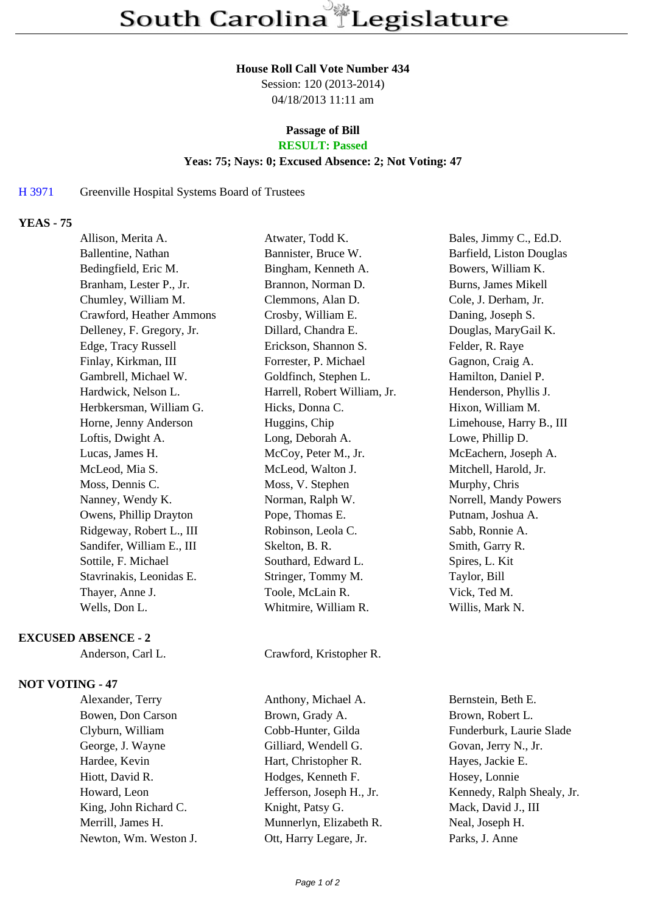### **House Roll Call Vote Number 434**

Session: 120 (2013-2014) 04/18/2013 11:11 am

# **Passage of Bill**

## **RESULT: Passed**

## **Yeas: 75; Nays: 0; Excused Absence: 2; Not Voting: 47**

### H 3971 Greenville Hospital Systems Board of Trustees

# **YEAS - 75**

| Allison, Merita A.        | Atwater, Todd K.             | Bales, Jimmy C., Ed.D.   |
|---------------------------|------------------------------|--------------------------|
| Ballentine, Nathan        | Bannister, Bruce W.          | Barfield, Liston Douglas |
| Bedingfield, Eric M.      | Bingham, Kenneth A.          | Bowers, William K.       |
| Branham, Lester P., Jr.   | Brannon, Norman D.           | Burns, James Mikell      |
| Chumley, William M.       | Clemmons, Alan D.            | Cole, J. Derham, Jr.     |
| Crawford, Heather Ammons  | Crosby, William E.           | Daning, Joseph S.        |
| Delleney, F. Gregory, Jr. | Dillard, Chandra E.          | Douglas, MaryGail K.     |
| Edge, Tracy Russell       | Erickson, Shannon S.         | Felder, R. Raye          |
| Finlay, Kirkman, III      | Forrester, P. Michael        | Gagnon, Craig A.         |
| Gambrell, Michael W.      | Goldfinch, Stephen L.        | Hamilton, Daniel P.      |
| Hardwick, Nelson L.       | Harrell, Robert William, Jr. | Henderson, Phyllis J.    |
| Herbkersman, William G.   | Hicks, Donna C.              | Hixon, William M.        |
| Horne, Jenny Anderson     | Huggins, Chip                | Limehouse, Harry B., III |
| Loftis, Dwight A.         | Long, Deborah A.             | Lowe, Phillip D.         |
| Lucas, James H.           | McCoy, Peter M., Jr.         | McEachern, Joseph A.     |
| McLeod, Mia S.            | McLeod, Walton J.            | Mitchell, Harold, Jr.    |
| Moss, Dennis C.           | Moss, V. Stephen             | Murphy, Chris            |
| Nanney, Wendy K.          | Norman, Ralph W.             | Norrell, Mandy Powers    |
| Owens, Phillip Drayton    | Pope, Thomas E.              | Putnam, Joshua A.        |
| Ridgeway, Robert L., III  | Robinson, Leola C.           | Sabb, Ronnie A.          |
| Sandifer, William E., III | Skelton, B. R.               | Smith, Garry R.          |
| Sottile, F. Michael       | Southard, Edward L.          | Spires, L. Kit           |
| Stavrinakis, Leonidas E.  | Stringer, Tommy M.           | Taylor, Bill             |
| Thayer, Anne J.           | Toole, McLain R.             | Vick, Ted M.             |
| Wells, Don L.             | Whitmire, William R.         | Willis, Mark N.          |
|                           |                              |                          |

#### **EXCUSED ABSENCE - 2**

## **NOT VOTING - 47**

| Alexander, Terry      |
|-----------------------|
| Bowen, Don Carson     |
| Clyburn, William      |
| George, J. Wayne      |
| Hardee, Kevin         |
| Hiott, David R.       |
| Howard, Leon          |
| King, John Richard C. |
| Merrill, James H.     |
| Newton, Wm. Weston J. |
|                       |

Anderson, Carl L. Crawford, Kristopher R.

Anthony, Michael A. Bernstein, Beth E. Brown, Grady A. Brown, Robert L. Cobb-Hunter, Gilda Funderburk, Laurie Slade Gilliard, Wendell G. Govan, Jerry N., Jr. Hart, Christopher R. Hayes, Jackie E. Hodges, Kenneth F. Hosey, Lonnie Knight, Patsy G. Mack, David J., III Munnerlyn, Elizabeth R. Neal, Joseph H. Ott, Harry Legare, Jr. Parks, J. Anne

Jefferson, Joseph H., Jr. Kennedy, Ralph Shealy, Jr.